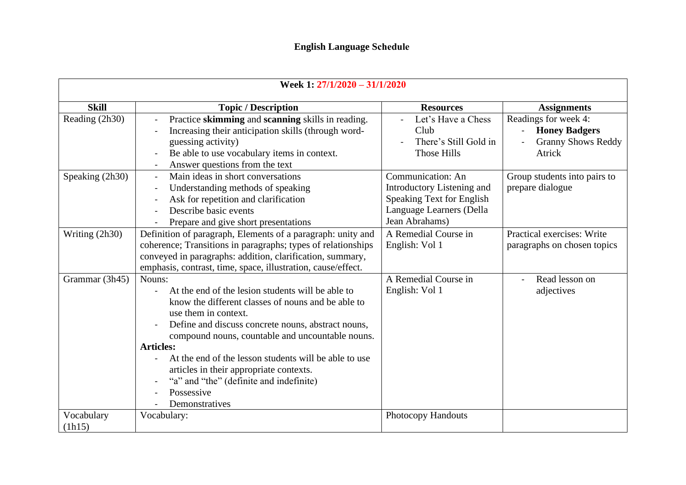## **English Language Schedule**

| Week 1: 27/1/2020 - 31/1/2020 |                                                                                                                                                                                                                                                                                                                                                                                                                                                        |                                                                                                                            |                                                                                                                 |
|-------------------------------|--------------------------------------------------------------------------------------------------------------------------------------------------------------------------------------------------------------------------------------------------------------------------------------------------------------------------------------------------------------------------------------------------------------------------------------------------------|----------------------------------------------------------------------------------------------------------------------------|-----------------------------------------------------------------------------------------------------------------|
| <b>Skill</b>                  | <b>Topic / Description</b>                                                                                                                                                                                                                                                                                                                                                                                                                             | <b>Resources</b>                                                                                                           | <b>Assignments</b>                                                                                              |
| Reading (2h30)                | Practice skimming and scanning skills in reading.<br>Increasing their anticipation skills (through word-<br>guessing activity)<br>Be able to use vocabulary items in context.<br>Answer questions from the text                                                                                                                                                                                                                                        | Let's Have a Chess<br>Club<br>There's Still Gold in<br>Those Hills                                                         | Readings for week 4:<br><b>Honey Badgers</b><br>$\overline{\phantom{0}}$<br><b>Granny Shows Reddy</b><br>Atrick |
| Speaking (2h30)               | Main ideas in short conversations<br>Understanding methods of speaking<br>Ask for repetition and clarification<br>Describe basic events<br>Prepare and give short presentations                                                                                                                                                                                                                                                                        | Communication: An<br>Introductory Listening and<br>Speaking Text for English<br>Language Learners (Della<br>Jean Abrahams) | Group students into pairs to<br>prepare dialogue                                                                |
| Writing (2h30)                | Definition of paragraph, Elements of a paragraph: unity and<br>coherence; Transitions in paragraphs; types of relationships<br>conveyed in paragraphs: addition, clarification, summary,<br>emphasis, contrast, time, space, illustration, cause/effect.                                                                                                                                                                                               | A Remedial Course in<br>English: Vol 1                                                                                     | Practical exercises: Write<br>paragraphs on chosen topics                                                       |
| Grammar (3h45)                | Nouns:<br>At the end of the lesion students will be able to<br>know the different classes of nouns and be able to<br>use them in context.<br>Define and discuss concrete nouns, abstract nouns,<br>compound nouns, countable and uncountable nouns.<br><b>Articles:</b><br>At the end of the lesson students will be able to use<br>articles in their appropriate contexts.<br>"a" and "the" (definite and indefinite)<br>Possessive<br>Demonstratives | A Remedial Course in<br>English: Vol 1                                                                                     | Read lesson on<br>adjectives                                                                                    |
| Vocabulary<br>(lh15)          | Vocabulary:                                                                                                                                                                                                                                                                                                                                                                                                                                            | <b>Photocopy Handouts</b>                                                                                                  |                                                                                                                 |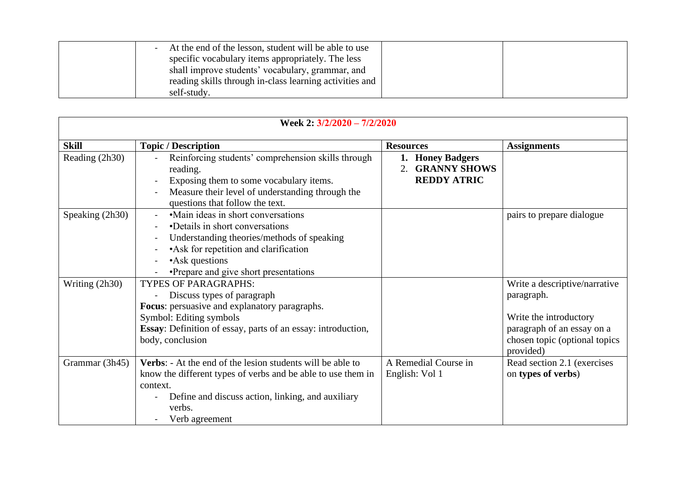| - At the end of the lesson, student will be able to use |  |
|---------------------------------------------------------|--|
| specific vocabulary items appropriately. The less       |  |
| shall improve students' vocabulary, grammar, and        |  |
| reading skills through in-class learning activities and |  |
| self-study.                                             |  |

| Week 2: 3/2/2020 - 7/2/2020 |                                                                                                                                                                                                                           |                                                                                 |                                                                                                                                                    |
|-----------------------------|---------------------------------------------------------------------------------------------------------------------------------------------------------------------------------------------------------------------------|---------------------------------------------------------------------------------|----------------------------------------------------------------------------------------------------------------------------------------------------|
| <b>Skill</b>                | <b>Topic / Description</b>                                                                                                                                                                                                | <b>Resources</b>                                                                | <b>Assignments</b>                                                                                                                                 |
| Reading (2h30)              | Reinforcing students' comprehension skills through<br>reading.<br>Exposing them to some vocabulary items.<br>Measure their level of understanding through the<br>questions that follow the text.                          | 1. Honey Badgers<br><b>GRANNY SHOWS</b><br>$\mathfrak{D}$<br><b>REDDY ATRIC</b> |                                                                                                                                                    |
| Speaking (2h30)             | •Main ideas in short conversations<br>•Details in short conversations<br>Understanding theories/methods of speaking<br>• Ask for repetition and clarification<br>•Ask questions<br>•Prepare and give short presentations  |                                                                                 | pairs to prepare dialogue                                                                                                                          |
| Writing (2h30)              | <b>TYPES OF PARAGRAPHS:</b><br>Discuss types of paragraph<br>Focus: persuasive and explanatory paragraphs.<br>Symbol: Editing symbols<br>Essay: Definition of essay, parts of an essay: introduction,<br>body, conclusion |                                                                                 | Write a descriptive/narrative<br>paragraph.<br>Write the introductory<br>paragraph of an essay on a<br>chosen topic (optional topics)<br>provided) |
| Grammar (3h45)              | Verbs: - At the end of the lesion students will be able to<br>know the different types of verbs and be able to use them in<br>context.<br>Define and discuss action, linking, and auxiliary<br>verbs.<br>Verb agreement   | A Remedial Course in<br>English: Vol 1                                          | Read section 2.1 (exercises<br>on types of verbs)                                                                                                  |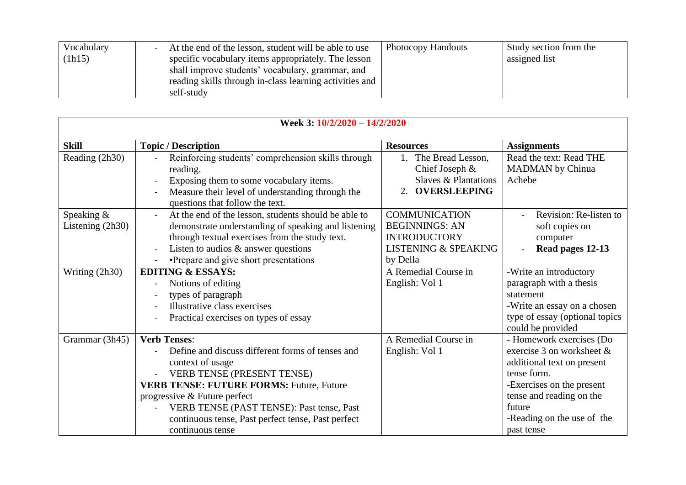| Vocabulary | At the end of the lesson, student will be able to use   | <b>Photocopy Handouts</b> | Study section from the |
|------------|---------------------------------------------------------|---------------------------|------------------------|
| (1h15)     | specific vocabulary items appropriately. The lesson     |                           | assigned list          |
|            | shall improve students' vocabulary, grammar, and        |                           |                        |
|            | reading skills through in-class learning activities and |                           |                        |
|            | self-study                                              |                           |                        |

| Week 3: 10/2/2020 - 14/2/2020  |                                                                                                                                                                                                                                                                                                                                            |                                                                                                                     |                                                                                                                                                                                                                      |
|--------------------------------|--------------------------------------------------------------------------------------------------------------------------------------------------------------------------------------------------------------------------------------------------------------------------------------------------------------------------------------------|---------------------------------------------------------------------------------------------------------------------|----------------------------------------------------------------------------------------------------------------------------------------------------------------------------------------------------------------------|
| <b>Skill</b>                   | <b>Topic / Description</b>                                                                                                                                                                                                                                                                                                                 | <b>Resources</b>                                                                                                    | <b>Assignments</b>                                                                                                                                                                                                   |
| Reading (2h30)                 | Reinforcing students' comprehension skills through<br>reading.<br>Exposing them to some vocabulary items.<br>Measure their level of understanding through the<br>questions that follow the text.                                                                                                                                           | 1. The Bread Lesson,<br>Chief Joseph &<br><b>Slaves &amp; Plantations</b><br>2. OVERSLEEPING                        | Read the text: Read THE<br><b>MADMAN</b> by Chinua<br>Achebe                                                                                                                                                         |
| Speaking &<br>Listening (2h30) | At the end of the lesson, students should be able to<br>demonstrate understanding of speaking and listening<br>through textual exercises from the study text.<br>Listen to audios $\&$ answer questions<br>•Prepare and give short presentations                                                                                           | <b>COMMUNICATION</b><br><b>BEGINNINGS: AN</b><br><b>INTRODUCTORY</b><br><b>LISTENING &amp; SPEAKING</b><br>by Della | Revision: Re-listen to<br>soft copies on<br>computer<br>Read pages 12-13                                                                                                                                             |
| Writing (2h30)                 | <b>EDITING &amp; ESSAYS:</b><br>Notions of editing<br>types of paragraph<br>Illustrative class exercises<br>Practical exercises on types of essay                                                                                                                                                                                          | A Remedial Course in<br>English: Vol 1                                                                              | -Write an introductory<br>paragraph with a thesis<br>statement<br>-Write an essay on a chosen<br>type of essay (optional topics<br>could be provided                                                                 |
| Grammar (3h45)                 | <b>Verb Tenses:</b><br>Define and discuss different forms of tenses and<br>context of usage<br><b>VERB TENSE (PRESENT TENSE)</b><br><b>VERB TENSE: FUTURE FORMS: Future, Future</b><br>progressive & Future perfect<br>VERB TENSE (PAST TENSE): Past tense, Past<br>continuous tense, Past perfect tense, Past perfect<br>continuous tense | A Remedial Course in<br>English: Vol 1                                                                              | - Homework exercises (Do<br>exercise 3 on worksheet $\&$<br>additional text on present<br>tense form.<br>-Exercises on the present<br>tense and reading on the<br>future<br>-Reading on the use of the<br>past tense |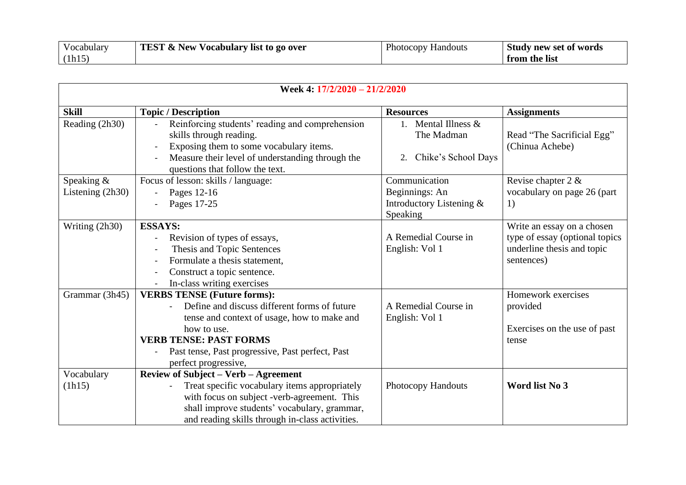| Vocabulary | <b>TEST &amp; New Vocabulary list to go over</b> | <b>Photocopy Handouts</b> | <b>Study new set of words</b> |
|------------|--------------------------------------------------|---------------------------|-------------------------------|
| (h15)      |                                                  |                           | from the list                 |

| Week 4: 17/2/2020 - 21/2/2020    |                                                                                                                                                                                                                                                               |                                                                                |                                                                                                          |
|----------------------------------|---------------------------------------------------------------------------------------------------------------------------------------------------------------------------------------------------------------------------------------------------------------|--------------------------------------------------------------------------------|----------------------------------------------------------------------------------------------------------|
| <b>Skill</b>                     | <b>Topic / Description</b>                                                                                                                                                                                                                                    | <b>Resources</b>                                                               | <b>Assignments</b>                                                                                       |
| Reading (2h30)                   | Reinforcing students' reading and comprehension<br>skills through reading.<br>Exposing them to some vocabulary items.<br>Measure their level of understanding through the<br>questions that follow the text.                                                  | 1. Mental Illness $\&$<br>The Madman<br>Chike's School Days<br>2.              | Read "The Sacrificial Egg"<br>(Chinua Achebe)                                                            |
| Speaking &<br>Listening $(2h30)$ | Focus of lesson: skills / language:<br>Pages 12-16<br>Pages 17-25                                                                                                                                                                                             | Communication<br>Beginnings: An<br>Introductory Listening &<br><b>Speaking</b> | Revise chapter 2 &<br>vocabulary on page 26 (part<br>1)                                                  |
| Writing (2h30)                   | <b>ESSAYS:</b><br>Revision of types of essays,<br>Thesis and Topic Sentences<br>Formulate a thesis statement,<br>Construct a topic sentence.<br>In-class writing exercises                                                                                    | A Remedial Course in<br>English: Vol 1                                         | Write an essay on a chosen<br>type of essay (optional topics<br>underline thesis and topic<br>sentences) |
| Grammar (3h45)                   | <b>VERBS TENSE (Future forms):</b><br>Define and discuss different forms of future<br>tense and context of usage, how to make and<br>how to use.<br><b>VERB TENSE: PAST FORMS</b><br>Past tense, Past progressive, Past perfect, Past<br>perfect progressive, | A Remedial Course in<br>English: Vol 1                                         | Homework exercises<br>provided<br>Exercises on the use of past<br>tense                                  |
| Vocabulary<br>(lh15)             | <b>Review of Subject - Verb - Agreement</b><br>Treat specific vocabulary items appropriately<br>with focus on subject -verb-agreement. This<br>shall improve students' vocabulary, grammar,<br>and reading skills through in-class activities.                | Photocopy Handouts                                                             | Word list No 3                                                                                           |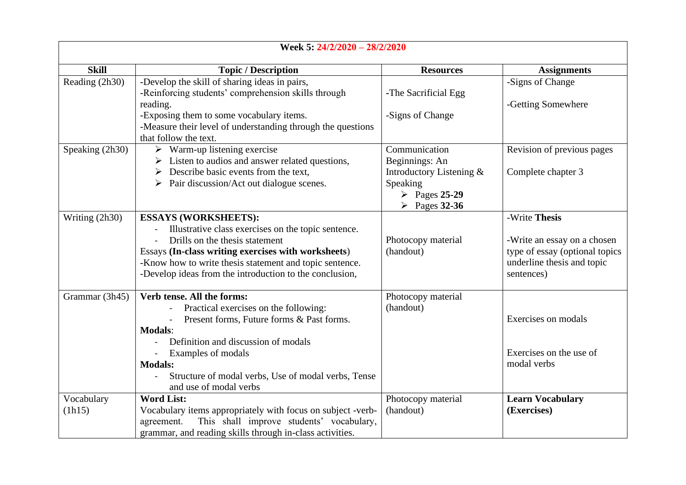| Week 5: 24/2/2020 - 28/2/2020 |                                                                                                      |                                                                          |                                |
|-------------------------------|------------------------------------------------------------------------------------------------------|--------------------------------------------------------------------------|--------------------------------|
| <b>Skill</b>                  | <b>Topic / Description</b>                                                                           | <b>Resources</b>                                                         | <b>Assignments</b>             |
| Reading (2h30)                | -Develop the skill of sharing ideas in pairs,<br>-Reinforcing students' comprehension skills through | -The Sacrificial Egg                                                     | -Signs of Change               |
|                               | reading.<br>-Exposing them to some vocabulary items.                                                 | -Signs of Change                                                         | -Getting Somewhere             |
|                               | -Measure their level of understanding through the questions<br>that follow the text.                 |                                                                          |                                |
| Speaking (2h30)               | $\triangleright$ Warm-up listening exercise                                                          | Communication                                                            | Revision of previous pages     |
|                               | $\triangleright$ Listen to audios and answer related questions,                                      | Beginnings: An                                                           |                                |
|                               | $\triangleright$ Describe basic events from the text.                                                | Introductory Listening &                                                 | Complete chapter 3             |
|                               | Pair discussion/Act out dialogue scenes.                                                             | Speaking<br>$\triangleright$ Pages 25-29<br>$\triangleright$ Pages 32-36 |                                |
| Writing (2h30)                | <b>ESSAYS (WORKSHEETS):</b>                                                                          |                                                                          | -Write Thesis                  |
|                               | Illustrative class exercises on the topic sentence.                                                  |                                                                          |                                |
|                               | Drills on the thesis statement                                                                       | Photocopy material                                                       | -Write an essay on a chosen    |
|                               | Essays (In-class writing exercises with worksheets)                                                  | (handout)                                                                | type of essay (optional topics |
|                               | -Know how to write thesis statement and topic sentence.                                              |                                                                          | underline thesis and topic     |
|                               | -Develop ideas from the introduction to the conclusion,                                              |                                                                          | sentences)                     |
| Grammar (3h45)                | Verb tense. All the forms:                                                                           | Photocopy material                                                       |                                |
|                               | Practical exercises on the following:                                                                | (handout)                                                                |                                |
|                               | Present forms, Future forms & Past forms.                                                            |                                                                          | Exercises on modals            |
|                               | <b>Modals:</b><br>Definition and discussion of modals                                                |                                                                          |                                |
|                               | Examples of modals                                                                                   |                                                                          | Exercises on the use of        |
|                               | <b>Modals:</b>                                                                                       |                                                                          | modal verbs                    |
|                               | Structure of modal verbs, Use of modal verbs, Tense                                                  |                                                                          |                                |
|                               | and use of modal verbs                                                                               |                                                                          |                                |
| Vocabulary                    | <b>Word List:</b>                                                                                    | Photocopy material                                                       | <b>Learn Vocabulary</b>        |
| (h15)                         | Vocabulary items appropriately with focus on subject -verb-                                          | (handout)                                                                | (Exercises)                    |
|                               | This shall improve students' vocabulary,<br>agreement.                                               |                                                                          |                                |
|                               | grammar, and reading skills through in-class activities.                                             |                                                                          |                                |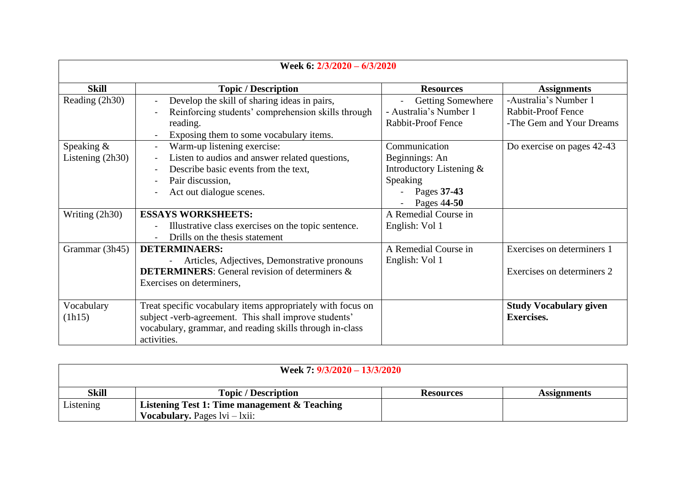| Week 6: 2/3/2020 - 6/3/2020 |                                                             |                            |                               |
|-----------------------------|-------------------------------------------------------------|----------------------------|-------------------------------|
| <b>Skill</b>                | <b>Topic / Description</b>                                  | <b>Resources</b>           | <b>Assignments</b>            |
| Reading (2h30)              | Develop the skill of sharing ideas in pairs,                | <b>Getting Somewhere</b>   | -Australia's Number 1         |
|                             | Reinforcing students' comprehension skills through          | - Australia's Number 1     | <b>Rabbit-Proof Fence</b>     |
|                             | reading.                                                    | Rabbit-Proof Fence         | -The Gem and Your Dreams      |
|                             | Exposing them to some vocabulary items.                     |                            |                               |
| Speaking &                  | Warm-up listening exercise:                                 | Communication              | Do exercise on pages 42-43    |
| Listening $(2h30)$          | Listen to audios and answer related questions,              | Beginnings: An             |                               |
|                             | Describe basic events from the text,                        | Introductory Listening $&$ |                               |
|                             | Pair discussion,                                            | Speaking                   |                               |
|                             | Act out dialogue scenes.                                    | Pages 37-43                |                               |
|                             |                                                             | Pages 44-50                |                               |
| Writing (2h30)              | <b>ESSAYS WORKSHEETS:</b>                                   | A Remedial Course in       |                               |
|                             | Illustrative class exercises on the topic sentence.         | English: Vol 1             |                               |
|                             | Drills on the thesis statement                              |                            |                               |
| Grammar (3h45)              | <b>DETERMINAERS:</b>                                        | A Remedial Course in       | Exercises on determiners 1    |
|                             | Articles, Adjectives, Demonstrative pronouns                | English: Vol 1             |                               |
|                             | <b>DETERMINERS:</b> General revision of determiners &       |                            | Exercises on determiners 2    |
|                             | Exercises on determiners,                                   |                            |                               |
|                             |                                                             |                            |                               |
| Vocabulary                  | Treat specific vocabulary items appropriately with focus on |                            | <b>Study Vocabulary given</b> |
| (lh15)                      | subject -verb-agreement. This shall improve students'       |                            | <b>Exercises.</b>             |
|                             | vocabulary, grammar, and reading skills through in-class    |                            |                               |
|                             | activities.                                                 |                            |                               |

| Week 7: $9/3/2020 - 13/3/2020$ |                                              |                  |                    |
|--------------------------------|----------------------------------------------|------------------|--------------------|
| <b>Skill</b>                   | <b>Topic</b> / Description                   | <b>Resources</b> | <b>Assignments</b> |
| Listening                      | Listening Test 1: Time management & Teaching |                  |                    |
|                                | <b>Vocabulary.</b> Pages $lvi - kii$ :       |                  |                    |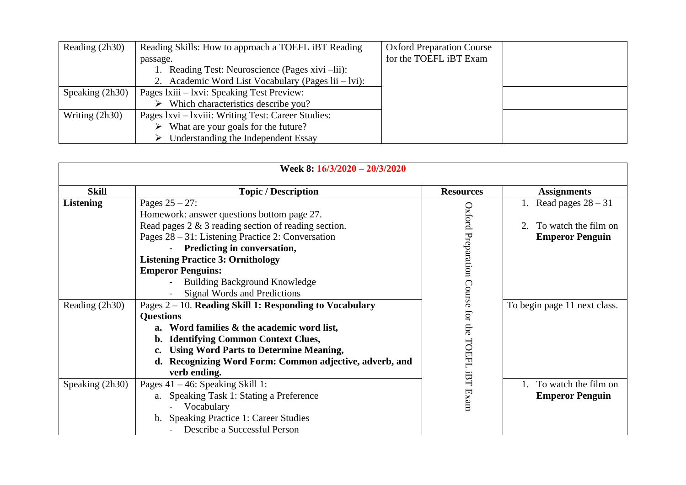| Reading (2h30)   | Reading Skills: How to approach a TOEFL iBT Reading | <b>Oxford Preparation Course</b> |  |
|------------------|-----------------------------------------------------|----------------------------------|--|
|                  | passage.                                            | for the TOEFL iBT Exam           |  |
|                  | Reading Test: Neuroscience (Pages xivi -lii):       |                                  |  |
|                  | 2. Academic Word List Vocabulary (Pages lii – lvi): |                                  |  |
| Speaking (2h30)  | Pages Ixiii – Ixvi: Speaking Test Preview:          |                                  |  |
|                  | Which characteristics describe you?                 |                                  |  |
| Writing $(2h30)$ | Pages Ixvi – Ixviii: Writing Test: Career Studies:  |                                  |  |
|                  | What are your goals for the future?                 |                                  |  |
|                  | Understanding the Independent Essay                 |                                  |  |

| Week 8: 16/3/2020 - 20/3/2020      |                                                                                                                                                                                                                                                                                                                                                                                                                                                                                                                                                                                                                                                                                                   |                                                |                                                                                                        |
|------------------------------------|---------------------------------------------------------------------------------------------------------------------------------------------------------------------------------------------------------------------------------------------------------------------------------------------------------------------------------------------------------------------------------------------------------------------------------------------------------------------------------------------------------------------------------------------------------------------------------------------------------------------------------------------------------------------------------------------------|------------------------------------------------|--------------------------------------------------------------------------------------------------------|
| <b>Skill</b>                       | <b>Topic / Description</b>                                                                                                                                                                                                                                                                                                                                                                                                                                                                                                                                                                                                                                                                        | <b>Resources</b>                               | <b>Assignments</b>                                                                                     |
| <b>Listening</b><br>Reading (2h30) | Pages $25 - 27$ :<br>Homework: answer questions bottom page 27.<br>Read pages $2 \& 3$ reading section of reading section.<br>Pages $28 - 31$ : Listening Practice 2: Conversation<br>Predicting in conversation,<br><b>Listening Practice 3: Ornithology</b><br><b>Emperor Penguins:</b><br><b>Building Background Knowledge</b><br>Signal Words and Predictions<br>Pages $2 - 10$ . Reading Skill 1: Responding to Vocabulary<br><b>Questions</b><br>a. Word families & the academic word list,<br><b>Identifying Common Context Clues,</b><br>b.<br><b>Using Word Parts to Determine Meaning,</b><br>$c_{\cdot}$<br>Recognizing Word Form: Common adjective, adverb, and<br>d.<br>verb ending. | Oxford Preparation Course for the TOEFL<br>:BT | Read pages $28 - 31$<br>To watch the film on<br><b>Emperor Penguin</b><br>To begin page 11 next class. |
| Speaking (2h30)                    | Pages $41 - 46$ : Speaking Skill 1:<br>a. Speaking Task 1: Stating a Preference                                                                                                                                                                                                                                                                                                                                                                                                                                                                                                                                                                                                                   | Exam                                           | To watch the film on<br><b>Emperor Penguin</b>                                                         |
|                                    | Vocabulary<br><b>Speaking Practice 1: Career Studies</b><br>b.<br>Describe a Successful Person                                                                                                                                                                                                                                                                                                                                                                                                                                                                                                                                                                                                    |                                                |                                                                                                        |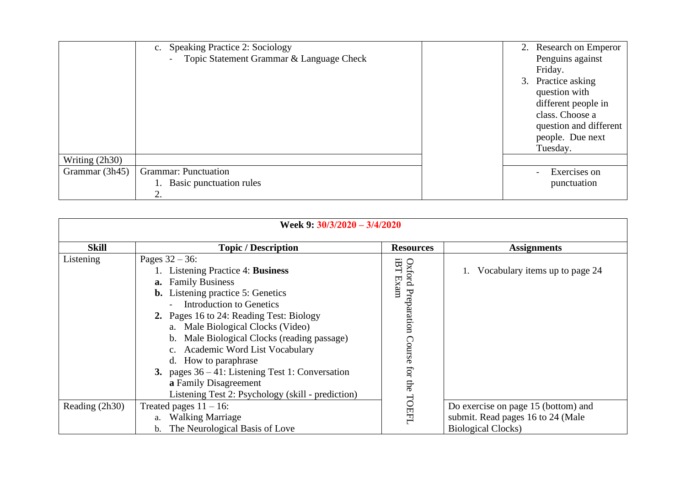|                | Speaking Practice 2: Sociology<br>c.     | 2. Research on Emperor                                                                                                      |
|----------------|------------------------------------------|-----------------------------------------------------------------------------------------------------------------------------|
|                | Topic Statement Grammar & Language Check | Penguins against                                                                                                            |
|                |                                          | Friday.                                                                                                                     |
|                |                                          | 3. Practice asking<br>question with<br>different people in<br>class. Choose a<br>question and different<br>people. Due next |
|                |                                          | Tuesday.                                                                                                                    |
| Writing (2h30) |                                          |                                                                                                                             |
| Grammar (3h45) | <b>Grammar: Punctuation</b>              | Exercises on                                                                                                                |
|                | Basic punctuation rules                  | punctuation                                                                                                                 |
|                | 2.                                       |                                                                                                                             |

| Week 9: $30/3/2020 - 3/4/2020$ |                                                                                                                                                                                                                                                                                                                                                                                                                                                                                                             |                                                         |                                                                                                        |  |  |
|--------------------------------|-------------------------------------------------------------------------------------------------------------------------------------------------------------------------------------------------------------------------------------------------------------------------------------------------------------------------------------------------------------------------------------------------------------------------------------------------------------------------------------------------------------|---------------------------------------------------------|--------------------------------------------------------------------------------------------------------|--|--|
| <b>Skill</b>                   | <b>Topic / Description</b>                                                                                                                                                                                                                                                                                                                                                                                                                                                                                  | <b>Resources</b>                                        | <b>Assignments</b>                                                                                     |  |  |
| Listening                      | Pages $32 - 36$ :<br>1. Listening Practice 4: Business<br><b>a.</b> Family Business<br><b>b.</b> Listening practice 5: Genetics<br><b>Introduction to Genetics</b><br>2. Pages 16 to 24: Reading Test: Biology<br>a. Male Biological Clocks (Video)<br>Male Biological Clocks (reading passage)<br>$b_{-}$<br>c. Academic Word List Vocabulary<br>d. How to paraphrase<br>3. pages $36 - 41$ : Listening Test 1: Conversation<br>a Family Disagreement<br>Listening Test 2: Psychology (skill - prediction) | <b>EET</b><br>Oxford Preparation Course for the<br>Exam | 1. Vocabulary items up to page 24                                                                      |  |  |
| Reading (2h30)                 | Treated pages $11 - 16$ :<br>a. Walking Marriage<br>The Neurological Basis of Love<br>$b_{-}$                                                                                                                                                                                                                                                                                                                                                                                                               | TOEFL                                                   | Do exercise on page 15 (bottom) and<br>submit. Read pages 16 to 24 (Male<br><b>Biological Clocks</b> ) |  |  |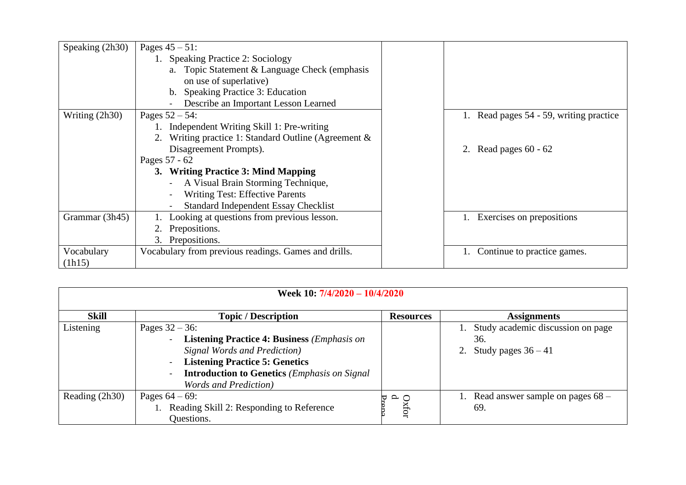| Speaking (2h30) | Pages $45 - 51$ :                                    |                                         |
|-----------------|------------------------------------------------------|-----------------------------------------|
|                 | 1. Speaking Practice 2: Sociology                    |                                         |
|                 | a. Topic Statement & Language Check (emphasis        |                                         |
|                 | on use of superlative)                               |                                         |
|                 | Speaking Practice 3: Education<br>b.                 |                                         |
|                 | Describe an Important Lesson Learned                 |                                         |
| Writing (2h30)  | Pages $52 - 54$ :                                    | 1. Read pages 54 - 59, writing practice |
|                 | Independent Writing Skill 1: Pre-writing             |                                         |
|                 | Writing practice 1: Standard Outline (Agreement $\&$ |                                         |
|                 | Disagreement Prompts).                               | 2. Read pages $60 - 62$                 |
|                 | Pages 57 - 62                                        |                                         |
|                 | 3. Writing Practice 3: Mind Mapping                  |                                         |
|                 | A Visual Brain Storming Technique,                   |                                         |
|                 | <b>Writing Test: Effective Parents</b>               |                                         |
|                 | Standard Independent Essay Checklist                 |                                         |
| Grammar (3h45)  | Looking at questions from previous lesson.           | Exercises on prepositions               |
|                 | Prepositions.                                        |                                         |
|                 | 3. Prepositions.                                     |                                         |
| Vocabulary      | Vocabulary from previous readings. Games and drills. | Continue to practice games.             |
| (lh15)          |                                                      |                                         |

| Week 10: 7/4/2020 - 10/4/2020 |                                                                                                                                                                                                                                          |                  |                                                                         |  |
|-------------------------------|------------------------------------------------------------------------------------------------------------------------------------------------------------------------------------------------------------------------------------------|------------------|-------------------------------------------------------------------------|--|
| <b>Skill</b>                  | <b>Topic / Description</b>                                                                                                                                                                                                               | <b>Resources</b> | <b>Assignments</b>                                                      |  |
| Listening                     | Pages $32 - 36$ :<br><b>Listening Practice 4: Business (Emphasis on</b><br>Signal Words and Prediction)<br><b>Listening Practice 5: Genetics</b><br><b>Introduction to Genetics</b> (Emphasis on Signal<br><b>Words and Prediction</b> ) |                  | Study academic discussion on page<br>36.<br>Study pages $36 - 41$<br>2. |  |
| Reading (2h30)                | Pages $64 - 69$ :<br>Reading Skill 2: Responding to Reference<br>Questions.                                                                                                                                                              | $Ox$ for<br>d    | Read answer sample on pages $68 -$<br>69.                               |  |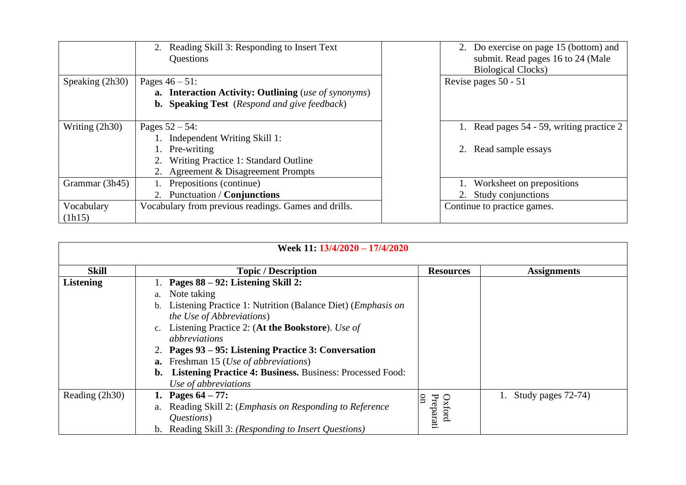|                   | Reading Skill 3: Responding to Insert Text<br>2.<br>Questions | 2. Do exercise on page 15 (bottom) and<br>submit. Read pages 16 to 24 (Male<br><b>Biological Clocks</b> ) |
|-------------------|---------------------------------------------------------------|-----------------------------------------------------------------------------------------------------------|
| Speaking $(2h30)$ | Pages $46 - 51$ :                                             | Revise pages 50 - 51                                                                                      |
|                   | a. Interaction Activity: Outlining (use of synonyms)          |                                                                                                           |
|                   | <b>b.</b> Speaking Test (Respond and give feedback)           |                                                                                                           |
|                   |                                                               |                                                                                                           |
| Writing $(2h30)$  | Pages $52 - 54$ :                                             | 1. Read pages 54 - 59, writing practice 2                                                                 |
|                   | Independent Writing Skill 1:                                  |                                                                                                           |
|                   | Pre-writing                                                   | Read sample essays<br>2.                                                                                  |
|                   | Writing Practice 1: Standard Outline                          |                                                                                                           |
|                   | 2. Agreement & Disagreement Prompts                           |                                                                                                           |
| Grammar (3h45)    | Prepositions (continue)                                       | Worksheet on prepositions                                                                                 |
|                   | 2. Punctuation / Conjunctions                                 | 2. Study conjunctions                                                                                     |
| Vocabulary        | Vocabulary from previous readings. Games and drills.          | Continue to practice games.                                                                               |
| (h15)             |                                                               |                                                                                                           |

| Week 11: 13/4/2020 - 17/4/2020 |                                                                                                                                                                                                                                                                                                                                                                                                                                                                  |                           |                       |
|--------------------------------|------------------------------------------------------------------------------------------------------------------------------------------------------------------------------------------------------------------------------------------------------------------------------------------------------------------------------------------------------------------------------------------------------------------------------------------------------------------|---------------------------|-----------------------|
| <b>Skill</b>                   | <b>Topic / Description</b>                                                                                                                                                                                                                                                                                                                                                                                                                                       | <b>Resources</b>          | <b>Assignments</b>    |
| <b>Listening</b>               | Pages 88 – 92: Listening Skill 2:<br>Note taking<br>a.<br>Listening Practice 1: Nutrition (Balance Diet) (Emphasis on<br>$b_{1}$<br><i>the Use of Abbreviations</i> )<br>Listening Practice 2: (At the Bookstore). Use of<br>$c_{\cdot}$<br>abbreviations<br>2. Pages 93 – 95: Listening Practice 3: Conversation<br><b>a.</b> Freshman 15 ( <i>Use of abbreviations</i> )<br><b>Listening Practice 4: Business. Business: Processed Food:</b><br>$\mathbf{b}$ . |                           |                       |
|                                | Use of abbreviations                                                                                                                                                                                                                                                                                                                                                                                                                                             |                           |                       |
| Reading (2h30)                 | 1. Pages $64 - 77$ :<br>Reading Skill 2: ( <i>Emphasis on Responding to Reference</i><br>a.<br>Questions)<br>Reading Skill 3: (Responding to Insert Questions)<br>$\mathbf{b}$ .                                                                                                                                                                                                                                                                                 | Preparati<br>on<br>Oxford | 1. Study pages 72-74) |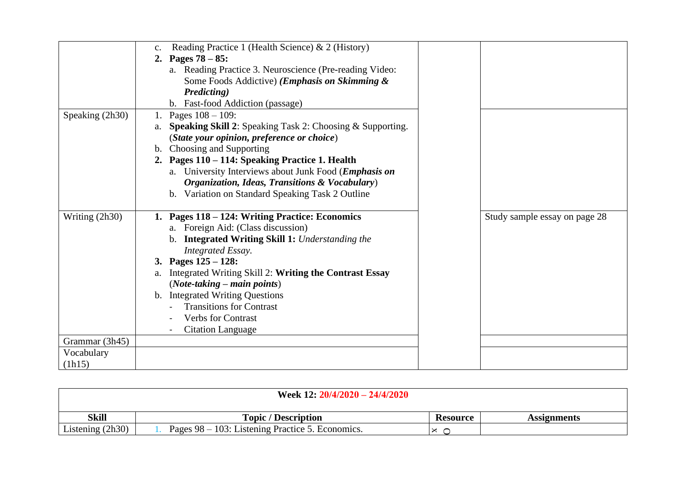|                 | Reading Practice 1 (Health Science) & 2 (History)<br>$C_{\bullet}$<br>2. Pages $78 - 85$ : |                               |
|-----------------|--------------------------------------------------------------------------------------------|-------------------------------|
|                 | a. Reading Practice 3. Neuroscience (Pre-reading Video:                                    |                               |
|                 | Some Foods Addictive) ( <i>Emphasis on Skimming &amp;</i>                                  |                               |
|                 | Predicting)                                                                                |                               |
|                 | b. Fast-food Addiction (passage)                                                           |                               |
| Speaking (2h30) | Pages $108 - 109$ :<br>1.                                                                  |                               |
|                 | a. Speaking Skill 2: Speaking Task 2: Choosing & Supporting.                               |                               |
|                 | (State your opinion, preference or choice)                                                 |                               |
|                 | b. Choosing and Supporting                                                                 |                               |
|                 | 2. Pages 110 - 114: Speaking Practice 1. Health                                            |                               |
|                 | a. University Interviews about Junk Food ( <i>Emphasis on</i>                              |                               |
|                 | Organization, Ideas, Transitions & Vocabulary)                                             |                               |
|                 | b. Variation on Standard Speaking Task 2 Outline                                           |                               |
|                 |                                                                                            |                               |
| Writing (2h30)  | Pages 118 - 124: Writing Practice: Economics                                               | Study sample essay on page 28 |
|                 | a. Foreign Aid: (Class discussion)                                                         |                               |
|                 | b. Integrated Writing Skill 1: Understanding the                                           |                               |
|                 | Integrated Essay.                                                                          |                               |
|                 | 3. Pages $125 - 128$ :                                                                     |                               |
|                 | Integrated Writing Skill 2: Writing the Contrast Essay<br>a.                               |                               |
|                 | $(Note-taking - main points)$                                                              |                               |
|                 | b. Integrated Writing Questions                                                            |                               |
|                 | <b>Transitions for Contrast</b>                                                            |                               |
|                 | <b>Verbs for Contrast</b>                                                                  |                               |
|                 | <b>Citation Language</b>                                                                   |                               |
| Grammar (3h45)  |                                                                                            |                               |
| Vocabulary      |                                                                                            |                               |
| (lh15)          |                                                                                            |                               |
|                 |                                                                                            |                               |

| Week 12: $20/4/2020 - 24/4/2020$ |                                                  |                 |                    |
|----------------------------------|--------------------------------------------------|-----------------|--------------------|
| <b>Skill</b>                     | <b>Topic</b> / Description                       | <b>Resource</b> | <b>Assignments</b> |
| Listening $(2h30)$               | Pages 98 – 103: Listening Practice 5. Economics. | ×               |                    |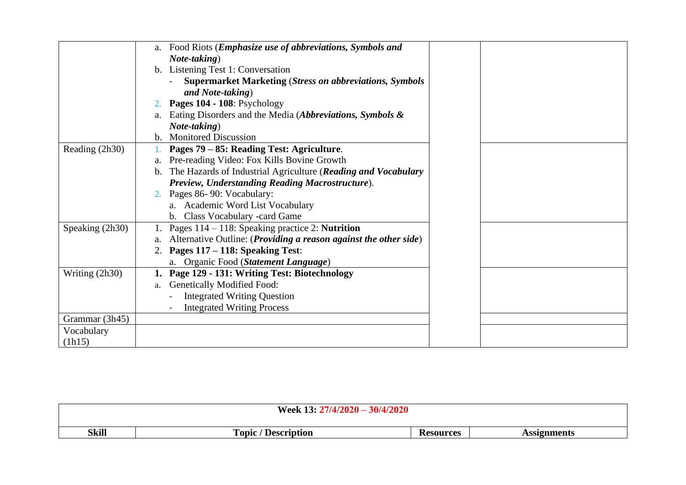|                 | Food Riots (Emphasize use of abbreviations, Symbols and<br>a.          |  |
|-----------------|------------------------------------------------------------------------|--|
|                 | Note-taking)                                                           |  |
|                 | b. Listening Test 1: Conversation                                      |  |
|                 | <b>Supermarket Marketing (Stress on abbreviations, Symbols</b>         |  |
|                 | and Note-taking)                                                       |  |
|                 | Pages 104 - 108: Psychology                                            |  |
|                 | Eating Disorders and the Media (Abbreviations, Symbols &<br>a.         |  |
|                 | Note-taking)                                                           |  |
|                 | b. Monitored Discussion                                                |  |
| Reading (2h30)  | Pages 79 – 85: Reading Test: Agriculture.                              |  |
|                 | a. Pre-reading Video: Fox Kills Bovine Growth                          |  |
|                 | b. The Hazards of Industrial Agriculture (Reading and Vocabulary       |  |
|                 | Preview, Understanding Reading Macrostructure).                        |  |
|                 | 2. Pages 86-90: Vocabulary:                                            |  |
|                 | a. Academic Word List Vocabulary                                       |  |
|                 | b. Class Vocabulary - card Game                                        |  |
| Speaking (2h30) | Pages 114 – 118: Speaking practice 2: Nutrition                        |  |
|                 | Alternative Outline: (Providing a reason against the other side)<br>a. |  |
|                 | Pages 117 – 118: Speaking Test:<br>2.                                  |  |
|                 | a. Organic Food (Statement Language)                                   |  |
| Writing (2h30)  | Page 129 - 131: Writing Test: Biotechnology                            |  |
|                 | Genetically Modified Food:<br>a.                                       |  |
|                 | <b>Integrated Writing Question</b>                                     |  |
|                 | <b>Integrated Writing Process</b>                                      |  |
| Grammar (3h45)  |                                                                        |  |
|                 |                                                                        |  |
| Vocabulary      |                                                                        |  |
| (lh15)          |                                                                        |  |

| $\boldsymbol{10000}$<br><b>Week 13:</b><br>30/4/2020<br>ZUZU ·                     |  |  |  |  |
|------------------------------------------------------------------------------------|--|--|--|--|
| <b>Skill</b><br>Topic $\prime$<br>' Description<br><b>Resources</b><br>Assignments |  |  |  |  |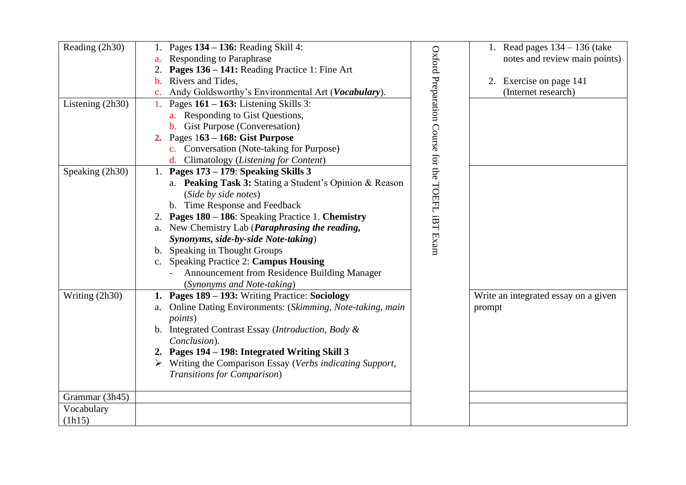| Reading (2h30)       | Pages $134 - 136$ : Reading Skill 4:<br><b>Responding to Paraphrase</b><br>a.<br>Pages 136 – 141: Reading Practice 1: Fine Art<br>Rivers and Tides,<br>$\mathbf{b}$ .<br>Andy Goldsworthy's Environmental Art (Vocabulary).                                                                                                                                                                                                                                                    |                                                  | 1. Read pages $134 - 136$ (take<br>notes and review main points)<br>2. Exercise on page 141<br>(Internet research) |
|----------------------|--------------------------------------------------------------------------------------------------------------------------------------------------------------------------------------------------------------------------------------------------------------------------------------------------------------------------------------------------------------------------------------------------------------------------------------------------------------------------------|--------------------------------------------------|--------------------------------------------------------------------------------------------------------------------|
| Listening (2h30)     | Pages $161 - 163$ : Listening Skills 3:<br>1.<br>a. Responding to Gist Questions,<br><b>b.</b> Gist Purpose (Converesation)<br>Pages 163 – 168: Gist Purpose<br>c. Conversation (Note-taking for Purpose)<br>d. Climatology (Listening for Content)                                                                                                                                                                                                                            |                                                  |                                                                                                                    |
| Speaking (2h30)      | Pages 173 – 179: Speaking Skills 3<br>1.<br>a. Peaking Task 3: Stating a Student's Opinion & Reason<br>(Side by side notes)<br>b. Time Response and Feedback<br>2. Pages 180 – 186: Speaking Practice 1. Chemistry<br>a. New Chemistry Lab ( <i>Paraphrasing the reading</i> ,<br>Synonyms, side-by-side Note-taking)<br>b. Speaking in Thought Groups<br>c. Speaking Practice 2: Campus Housing<br>Announcement from Residence Building Manager<br>(Synonyms and Note-taking) | Oxford Preparation Course for the TOEFL iBT Exam |                                                                                                                    |
| Writing (2h30)       | 1. Pages 189 – 193: Writing Practice: Sociology<br>a. Online Dating Environments: (Skimming, Note-taking, main<br><i>points</i> )<br>Integrated Contrast Essay (Introduction, Body &<br>Conclusion).<br>2. Pages 194 – 198: Integrated Writing Skill 3<br>$\triangleright$ Writing the Comparison Essay (Verbs indicating Support,<br>Transitions for Comparison)                                                                                                              |                                                  | Write an integrated essay on a given<br>prompt                                                                     |
| Grammar (3h45)       |                                                                                                                                                                                                                                                                                                                                                                                                                                                                                |                                                  |                                                                                                                    |
| Vocabulary<br>(lh15) |                                                                                                                                                                                                                                                                                                                                                                                                                                                                                |                                                  |                                                                                                                    |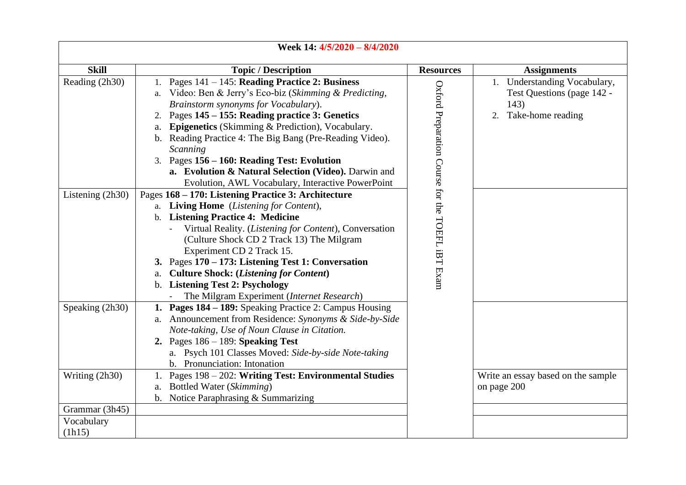| Week 14: 4/5/2020 - 8/4/2020 |                                                                                                                                                                                                                                                                                                                                                                                                                                                                                                          |                                                  |                                                                                            |
|------------------------------|----------------------------------------------------------------------------------------------------------------------------------------------------------------------------------------------------------------------------------------------------------------------------------------------------------------------------------------------------------------------------------------------------------------------------------------------------------------------------------------------------------|--------------------------------------------------|--------------------------------------------------------------------------------------------|
| <b>Skill</b>                 | <b>Topic / Description</b>                                                                                                                                                                                                                                                                                                                                                                                                                                                                               | <b>Resources</b>                                 | <b>Assignments</b>                                                                         |
| Reading (2h30)               | 1. Pages $141 - 145$ : Reading Practice 2: Business<br>a. Video: Ben & Jerry's Eco-biz (Skimming & Predicting,<br>Brainstorm synonyms for Vocabulary).<br>2. Pages 145 – 155: Reading practice 3: Genetics<br>Epigenetics (Skimming & Prediction), Vocabulary.<br>а.<br>b. Reading Practice 4: The Big Bang (Pre-Reading Video).<br>Scanning<br>3. Pages 156 – 160: Reading Test: Evolution<br>a. Evolution & Natural Selection (Video). Darwin and<br>Evolution, AWL Vocabulary, Interactive PowerPoint |                                                  | 1. Understanding Vocabulary,<br>Test Questions (page 142 -<br>143)<br>2. Take-home reading |
| Listening (2h30)             | Pages 168 - 170: Listening Practice 3: Architecture<br>a. Living Home (Listening for Content),<br>b. Listening Practice 4: Medicine<br>Virtual Reality. (Listening for Content), Conversation<br>(Culture Shock CD 2 Track 13) The Milgram<br>Experiment CD 2 Track 15.<br>3. Pages 170 – 173: Listening Test 1: Conversation<br><b>Culture Shock: (Listening for Content)</b><br>а.<br>b. Listening Test 2: Psychology<br>The Milgram Experiment (Internet Research)                                    | Oxford Preparation Course for the TOEFL iBT Exam |                                                                                            |
| Speaking (2h30)              | 1. Pages 184 – 189: Speaking Practice 2: Campus Housing<br>a. Announcement from Residence: Synonyms & Side-by-Side<br>Note-taking, Use of Noun Clause in Citation.<br>2. Pages $186 - 189$ : Speaking Test<br>a. Psych 101 Classes Moved: Side-by-side Note-taking<br>b. Pronunciation: Intonation                                                                                                                                                                                                       |                                                  |                                                                                            |
| Writing (2h30)               | 1. Pages 198 - 202: Writing Test: Environmental Studies<br>a. Bottled Water (Skimming)<br>b. Notice Paraphrasing & Summarizing                                                                                                                                                                                                                                                                                                                                                                           |                                                  | Write an essay based on the sample<br>on page 200                                          |
| Grammar (3h45)               |                                                                                                                                                                                                                                                                                                                                                                                                                                                                                                          |                                                  |                                                                                            |
| Vocabulary<br>(lh15)         |                                                                                                                                                                                                                                                                                                                                                                                                                                                                                                          |                                                  |                                                                                            |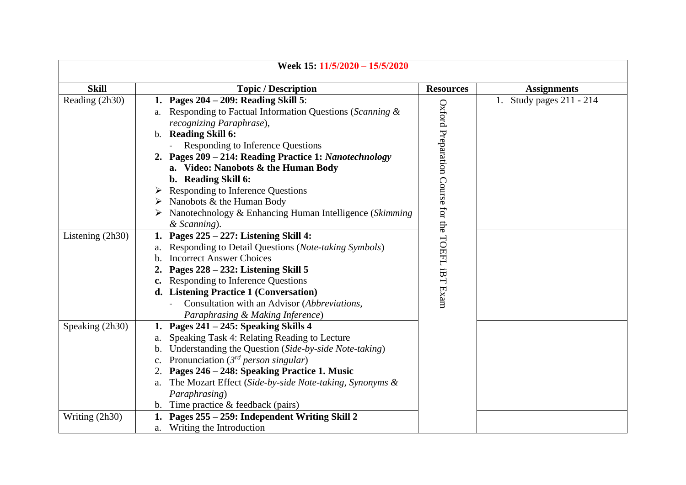|                  | Week 15: 11/5/2020 - 15/5/2020                                          |                                                  |                          |
|------------------|-------------------------------------------------------------------------|--------------------------------------------------|--------------------------|
| <b>Skill</b>     | <b>Topic / Description</b>                                              | <b>Resources</b>                                 | <b>Assignments</b>       |
| Reading (2h30)   | Pages $204 - 209$ : Reading Skill 5:                                    |                                                  | 1. Study pages 211 - 214 |
|                  | Responding to Factual Information Questions (Scanning &<br>a.           | Oxford Preparation Course for the TOEFL iBT Exam |                          |
|                  | recognizing Paraphrase),                                                |                                                  |                          |
|                  | b. Reading Skill 6:                                                     |                                                  |                          |
|                  | Responding to Inference Questions                                       |                                                  |                          |
|                  | 2. Pages 209 - 214: Reading Practice 1: Nanotechnology                  |                                                  |                          |
|                  | a. Video: Nanobots & the Human Body                                     |                                                  |                          |
|                  | b. Reading Skill 6:                                                     |                                                  |                          |
|                  | Responding to Inference Questions                                       |                                                  |                          |
|                  | Nanobots & the Human Body<br>➤                                          |                                                  |                          |
|                  | Nanotechnology & Enhancing Human Intelligence (Skimming                 |                                                  |                          |
|                  | & Scanning).                                                            |                                                  |                          |
| Listening (2h30) | Pages 225 – 227: Listening Skill 4:<br>1.                               |                                                  |                          |
|                  | Responding to Detail Questions (Note-taking Symbols)<br>a.              |                                                  |                          |
|                  | <b>Incorrect Answer Choices</b><br>$\mathbf{b}$ .                       |                                                  |                          |
|                  | Pages 228 – 232: Listening Skill 5                                      |                                                  |                          |
|                  | Responding to Inference Questions                                       |                                                  |                          |
|                  | d. Listening Practice 1 (Conversation)                                  |                                                  |                          |
|                  | Consultation with an Advisor (Abbreviations,                            |                                                  |                          |
|                  | Paraphrasing & Making Inference)                                        |                                                  |                          |
| Speaking (2h30)  | Pages 241 – 245: Speaking Skills 4<br>1.                                |                                                  |                          |
|                  | Speaking Task 4: Relating Reading to Lecture<br>a.                      |                                                  |                          |
|                  | Understanding the Question (Side-by-side Note-taking)<br>$\mathbf{b}$ . |                                                  |                          |
|                  | Pronunciation ( $3^{rd}$ person singular)                               |                                                  |                          |
|                  | Pages 246 – 248: Speaking Practice 1. Music                             |                                                  |                          |
|                  | The Mozart Effect (Side-by-side Note-taking, Synonyms &<br>a.           |                                                  |                          |
|                  | Paraphrasing)                                                           |                                                  |                          |
|                  | b. Time practice $&$ feedback (pairs)                                   |                                                  |                          |
| Writing (2h30)   | Pages 255 - 259: Independent Writing Skill 2                            |                                                  |                          |
|                  | a. Writing the Introduction                                             |                                                  |                          |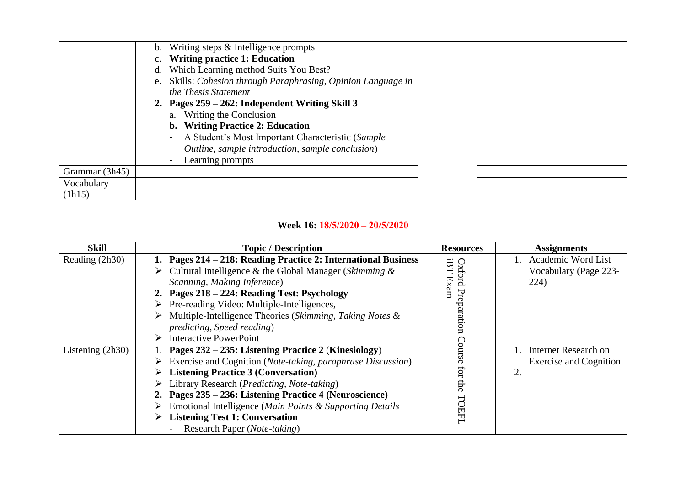|                | Writing steps & Intelligence prompts<br>b.                       |  |
|----------------|------------------------------------------------------------------|--|
|                | <b>Writing practice 1: Education</b><br>$c_{\cdot}$              |  |
|                | Which Learning method Suits You Best?<br>d.                      |  |
|                | Skills: Cohesion through Paraphrasing, Opinion Language in<br>e. |  |
|                | the Thesis Statement                                             |  |
|                | 2. Pages $259 - 262$ : Independent Writing Skill 3               |  |
|                | a. Writing the Conclusion                                        |  |
|                | b. Writing Practice 2: Education                                 |  |
|                | A Student's Most Important Characteristic (Sample                |  |
|                | Outline, sample introduction, sample conclusion)                 |  |
|                | Learning prompts                                                 |  |
| Grammar (3h45) |                                                                  |  |
| Vocabulary     |                                                                  |  |
| (lh15)         |                                                                  |  |

|                    | Week 16: 18/5/2020 - 20/5/2020                                                                                                                                                                                                                                                                                                                                                                               |                                |                                                             |
|--------------------|--------------------------------------------------------------------------------------------------------------------------------------------------------------------------------------------------------------------------------------------------------------------------------------------------------------------------------------------------------------------------------------------------------------|--------------------------------|-------------------------------------------------------------|
| <b>Skill</b>       | <b>Topic / Description</b>                                                                                                                                                                                                                                                                                                                                                                                   | <b>Resources</b>               | Assignments                                                 |
| Reading (2h30)     | Pages 214 – 218: Reading Practice 2: International Business<br>Cultural Intelligence & the Global Manager (Skimming $\&$<br>Scanning, Making Inference)<br>2. Pages 218 – 224: Reading Test: Psychology<br>Pre-reading Video: Multiple-Intelligences,<br>➤<br>Multiple-Intelligence Theories (Skimming, Taking Notes &<br>➤<br>predicting, Speed reading)<br><b>Interactive PowerPoint</b><br>➤              | iBT Exam<br>Oxford Preparation | Academic Word List<br>Vocabulary (Page 223-<br>224)         |
| Listening $(2h30)$ | Pages 232 – 235: Listening Practice 2 (Kinesiology)<br>Exercise and Cognition (Note-taking, paraphrase Discussion).<br><b>Listening Practice 3 (Conversation)</b><br>Library Research (Predicting, Note-taking)<br>Pages 235 – 236: Listening Practice 4 (Neuroscience)<br>Emotional Intelligence (Main Points & Supporting Details<br><b>Listening Test 1: Conversation</b><br>Research Paper (Note-taking) | Course<br>for<br>the<br>TOEFL  | Internet Research on<br><b>Exercise and Cognition</b><br>2. |